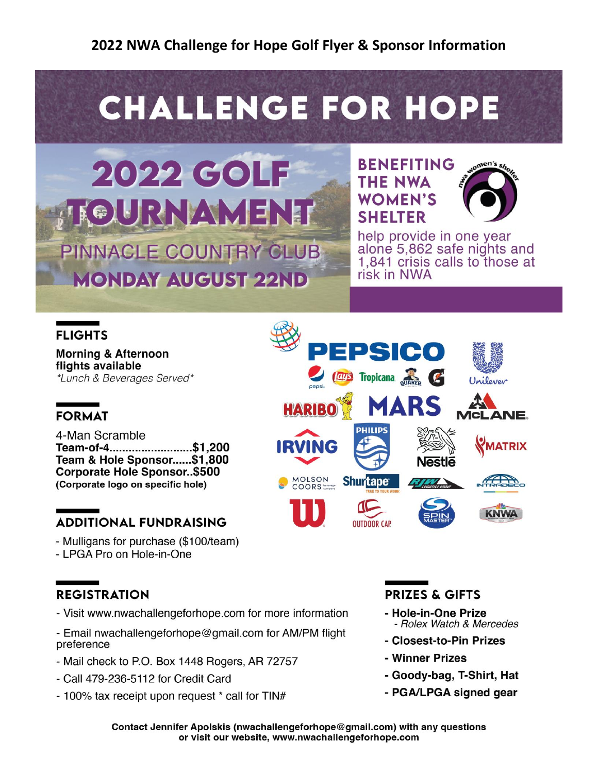# **CHALLENGE FOR HOPE**

## 2022 GOLF **GURNAMENT** PINNACLE COUNTRY CLUB **MONDAY AUGUST 22ND**





help provide in one year alone 5,862 safe nights and 1.841 crisis calls to those at risk in NWA

## **FLIGHTS**

**Morning & Afternoon** flights available \*Lunch & Beverages Served\*

## **FORMAT**

4-Man Scramble Team-of-4..........................\$1,200 Team & Hole Sponsor......\$1,800 **Corporate Hole Sponsor..\$500** (Corporate logo on specific hole)

## **ADDITIONAL FUNDRAISING**

- Mulligans for purchase (\$100/team)

- LPGA Pro on Hole-in-One

## **REGISTRATION**

- Visit www.nwachallengeforhope.com for more information
- Email nwachallengeforhope@gmail.com for AM/PM flight preference
- Mail check to P.O. Box 1448 Rogers, AR 72757
- Call 479-236-5112 for Credit Card
- 100% tax receipt upon request \* call for TIN#



## **PRIZES & GIFTS**

- Hole-in-One Prize - Rolex Watch & Mercedes
- Closest-to-Pin Prizes
- Winner Prizes
- Goody-bag, T-Shirt, Hat
- PGA/LPGA signed gear

Contact Jennifer Apolskis (nwachallengeforhope@gmail.com) with any questions or visit our website, www.nwachallengeforhope.com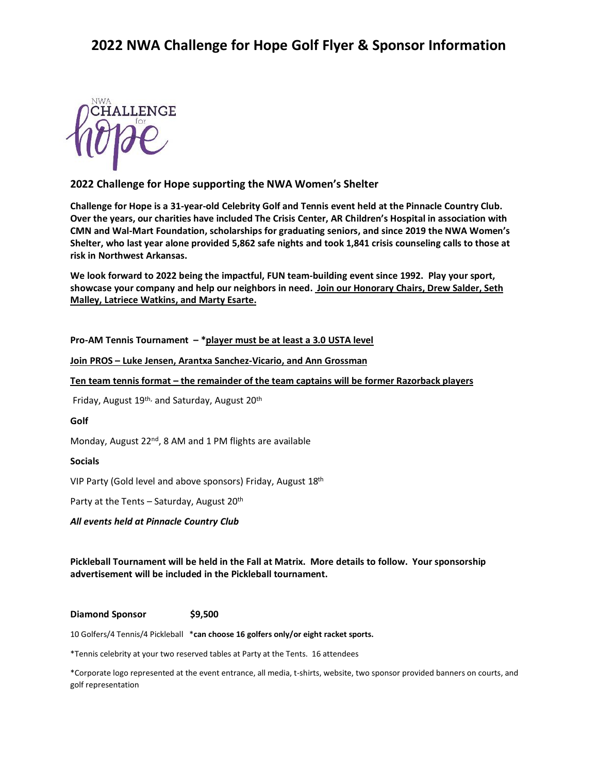

#### **2022 Challenge for Hope supporting the NWA Women's Shelter**

**Challenge for Hope is a 31-year-old Celebrity Golf and Tennis event held at the Pinnacle Country Club. Over the years, our charities have included The Crisis Center, AR Children's Hospital in association with CMN and Wal-Mart Foundation, scholarships for graduating seniors, and since 2019 the NWA Women's Shelter, who last year alone provided 5,862 safe nights and took 1,841 crisis counseling calls to those at risk in Northwest Arkansas.**

**We look forward to 2022 being the impactful, FUN team-building event since 1992. Play your sport, showcase your company and help our neighbors in need. Join our Honorary Chairs, Drew Salder, Seth Malley, Latriece Watkins, and Marty Esarte.**

**Pro-AM Tennis Tournament – \*player must be at least a 3.0 USTA level**

**Join PROS – Luke Jensen, Arantxa Sanchez-Vicario, and Ann Grossman**

**Ten team tennis format – the remainder of the team captains will be former Razorback players**

Friday, August 19<sup>th,</sup> and Saturday, August 20<sup>th</sup>

#### **Golf**

Monday, August 22<sup>nd</sup>, 8 AM and 1 PM flights are available

#### **Socials**

VIP Party (Gold level and above sponsors) Friday, August 18th

Party at the Tents – Saturday, August 20<sup>th</sup>

*All events held at Pinnacle Country Club*

**Pickleball Tournament will be held in the Fall at Matrix. More details to follow. Your sponsorship advertisement will be included in the Pickleball tournament.** 

#### **Diamond Sponsor \$9,500**

10 Golfers/4 Tennis/4 Pickleball \***can choose 16 golfers only/or eight racket sports.** 

\*Tennis celebrity at your two reserved tables at Party at the Tents. 16 attendees

\*Corporate logo represented at the event entrance, all media, t-shirts, website, two sponsor provided banners on courts, and golf representation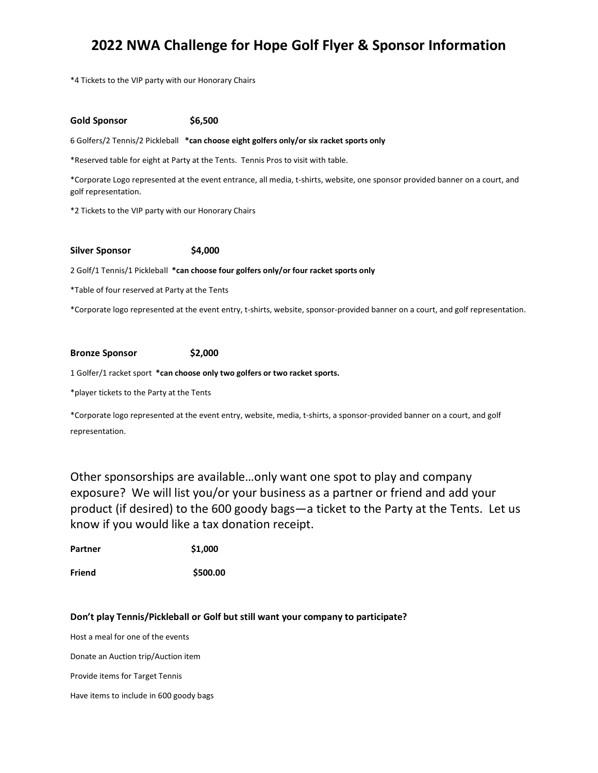\*4 Tickets to the VIP party with our Honorary Chairs

#### **Gold Sponsor \$6,500**

6 Golfers/2 Tennis/2 Pickleball **\*can choose eight golfers only/or six racket sports only**

\*Reserved table for eight at Party at the Tents. Tennis Pros to visit with table.

\*Corporate Logo represented at the event entrance, all media, t-shirts, website, one sponsor provided banner on a court, and golf representation.

\*2 Tickets to the VIP party with our Honorary Chairs

#### **Silver Sponsor \$4,000**

2 Golf/1 Tennis/1 Pickleball **\*can choose four golfers only/or four racket sports only**

\*Table of four reserved at Party at the Tents

\*Corporate logo represented at the event entry, t-shirts, website, sponsor-provided banner on a court, and golf representation.

#### **Bronze Sponsor \$2,000**

1 Golfer/1 racket sport **\*can choose only two golfers or two racket sports.**

\*player tickets to the Party at the Tents

\*Corporate logo represented at the event entry, website, media, t-shirts, a sponsor-provided banner on a court, and golf representation.

Other sponsorships are available…only want one spot to play and company exposure? We will list you/or your business as a partner or friend and add your product (if desired) to the 600 goody bags—a ticket to the Party at the Tents. Let us know if you would like a tax donation receipt.

| \$1,000 |
|---------|
|         |

**Friend \$500.00**

#### **Don't play Tennis/Pickleball or Golf but still want your company to participate?**

Host a meal for one of the events

Donate an Auction trip/Auction item

Provide items for Target Tennis

Have items to include in 600 goody bags